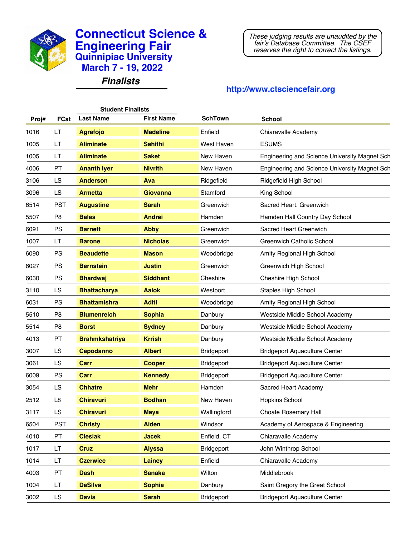

*Finalists*

*These judging results are unaudited by the fair's Database Committee. The CSEF reserves the right to correct the listings.*

|       |                | <b>Student Finalists</b> |                   |                |                                               |
|-------|----------------|--------------------------|-------------------|----------------|-----------------------------------------------|
| Proj# | <b>FCat</b>    | <b>Last Name</b>         | <b>First Name</b> | <b>SchTown</b> | <b>School</b>                                 |
| 1016  | LT             | <b>Agrafojo</b>          | <b>Madeline</b>   | Enfield        | Chiaravalle Academy                           |
| 1005  | LT             | <b>Aliminate</b>         | <b>Sahithi</b>    | West Haven     | <b>ESUMS</b>                                  |
| 1005  | LT             | <b>Aliminate</b>         | <b>Saket</b>      | New Haven      | Engineering and Science University Magnet Sch |
| 4006  | PT             | <b>Ananth lyer</b>       | <b>Nivrith</b>    | New Haven      | Engineering and Science University Magnet Sch |
| 3106  | LS             | <b>Anderson</b>          | Ava               | Ridgefield     | Ridgefield High School                        |
| 3096  | LS             | <b>Armetta</b>           | <b>Giovanna</b>   | Stamford       | King School                                   |
| 6514  | <b>PST</b>     | <b>Augustine</b>         | <b>Sarah</b>      | Greenwich      | Sacred Heart, Greenwich                       |
| 5507  | P <sub>8</sub> | <b>Balas</b>             | <b>Andrei</b>     | Hamden         | Hamden Hall Country Day School                |
| 6091  | <b>PS</b>      | <b>Barnett</b>           | <b>Abby</b>       | Greenwich      | Sacred Heart Greenwich                        |
| 1007  | LT             | <b>Barone</b>            | <b>Nicholas</b>   | Greenwich      | <b>Greenwich Catholic School</b>              |
| 6090  | PS             | <b>Beaudette</b>         | <b>Mason</b>      | Woodbridge     | Amity Regional High School                    |
| 6027  | PS             | <b>Bernstein</b>         | <b>Justin</b>     | Greenwich      | Greenwich High School                         |
| 6030  | PS             | <b>Bhardwaj</b>          | <b>Siddhant</b>   | Cheshire       | Cheshire High School                          |
| 3110  | LS             | <b>Bhattacharya</b>      | <b>Aalok</b>      | Westport       | <b>Staples High School</b>                    |
| 6031  | PS             | <b>Bhattamishra</b>      | <b>Aditi</b>      | Woodbridge     | Amity Regional High School                    |
| 5510  | P <sub>8</sub> | <b>Blumenreich</b>       | <b>Sophia</b>     | Danbury        | Westside Middle School Academy                |
| 5514  | P <sub>8</sub> | <b>Borst</b>             | <b>Sydney</b>     | Danbury        | Westside Middle School Academy                |
| 4013  | PT             | <b>Brahmkshatriya</b>    | <b>Krrish</b>     | Danbury        | Westside Middle School Academy                |
| 3007  | LS             | <b>Capodanno</b>         | <b>Albert</b>     | Bridgeport     | <b>Bridgeport Aquaculture Center</b>          |
| 3061  | LS             | <b>Carr</b>              | <b>Cooper</b>     | Bridgeport     | <b>Bridgeport Aquaculture Center</b>          |
| 6009  | PS             | <b>Carr</b>              | <b>Kennedy</b>    | Bridgeport     | <b>Bridgeport Aquaculture Center</b>          |
| 3054  | LS             | <b>Chhatre</b>           | <b>Mehr</b>       | Hamden         | Sacred Heart Academy                          |
| 2512  | L8             | <b>Chiravuri</b>         | <b>Bodhan</b>     | New Haven      | Hopkins School                                |
| 3117  | LS             | <b>Chiravuri</b>         | <b>Maya</b>       | Wallingford    | <b>Choate Rosemary Hall</b>                   |
| 6504  | <b>PST</b>     | <b>Christy</b>           | <b>Aiden</b>      | Windsor        | Academy of Aerospace & Engineering            |
| 4010  | PT             | <b>Cieslak</b>           | <b>Jacek</b>      | Enfield, CT    | Chiaravalle Academy                           |
| 1017  | LT.            | <b>Cruz</b>              | <b>Alyssa</b>     | Bridgeport     | John Winthrop School                          |
| 1014  | LT.            | <b>Czerwiec</b>          | <b>Lainey</b>     | Enfield        | Chiaravalle Academy                           |
| 4003  | PT             | <b>Dash</b>              | <b>Sanaka</b>     | Wilton         | Middlebrook                                   |
| 1004  | LT.            | <b>DaSilva</b>           | <b>Sophia</b>     | Danbury        | Saint Gregory the Great School                |
| 3002  | LS             | <b>Davis</b>             | <b>Sarah</b>      | Bridgeport     | <b>Bridgeport Aquaculture Center</b>          |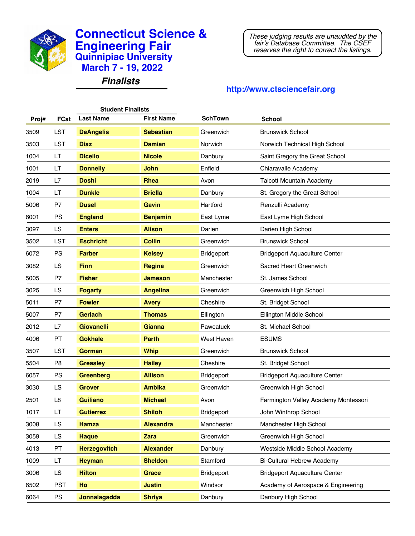

*Finalists*

*These judging results are unaudited by the fair's Database Committee. The CSEF reserves the right to correct the listings.*

| <b>Student Finalists</b> |                |                     |                   |                |                                      |  |
|--------------------------|----------------|---------------------|-------------------|----------------|--------------------------------------|--|
| Proj#                    | <b>FCat</b>    | <b>Last Name</b>    | <b>First Name</b> | <b>SchTown</b> | <b>School</b>                        |  |
| 3509                     | LST            | <b>DeAngelis</b>    | <b>Sebastian</b>  | Greenwich      | <b>Brunswick School</b>              |  |
| 3503                     | LST            | <b>Diaz</b>         | <b>Damian</b>     | Norwich        | Norwich Technical High School        |  |
| 1004                     | LT             | <b>Dicello</b>      | <b>Nicole</b>     | Danbury        | Saint Gregory the Great School       |  |
| 1001                     | LT             | <b>Donnelly</b>     | <b>John</b>       | Enfield        | Chiaravalle Academy                  |  |
| 2019                     | L7             | <b>Doshi</b>        | <b>Rhea</b>       | Avon           | <b>Talcott Mountain Academy</b>      |  |
| 1004                     | LT             | <b>Dunkle</b>       | <b>Briella</b>    | Danbury        | St. Gregory the Great School         |  |
| 5006                     | P7             | <b>Dusel</b>        | Gavin             | Hartford       | Renzulli Academy                     |  |
| 6001                     | <b>PS</b>      | <b>England</b>      | <b>Benjamin</b>   | East Lyme      | East Lyme High School                |  |
| 3097                     | LS             | <b>Enters</b>       | <b>Alison</b>     | Darien         | Darien High School                   |  |
| 3502                     | LST            | <b>Eschricht</b>    | <b>Collin</b>     | Greenwich      | <b>Brunswick School</b>              |  |
| 6072                     | PS             | <b>Farber</b>       | <b>Kelsey</b>     | Bridgeport     | <b>Bridgeport Aquaculture Center</b> |  |
| 3082                     | LS             | <b>Finn</b>         | Regina            | Greenwich      | Sacred Heart Greenwich               |  |
| 5005                     | P7             | <b>Fisher</b>       | <b>Jameson</b>    | Manchester     | St. James School                     |  |
| 3025                     | LS             | <b>Fogarty</b>      | <b>Angelina</b>   | Greenwich      | Greenwich High School                |  |
| 5011                     | P7             | <b>Fowler</b>       | <b>Avery</b>      | Cheshire       | St. Bridget School                   |  |
| 5007                     | P7             | <b>Gerlach</b>      | <b>Thomas</b>     | Ellington      | Ellington Middle School              |  |
| 2012                     | L7             | <b>Giovanelli</b>   | <b>Gianna</b>     | Pawcatuck      | St. Michael School                   |  |
| 4006                     | PT             | <b>Gokhale</b>      | <b>Parth</b>      | West Haven     | <b>ESUMS</b>                         |  |
| 3507                     | LST            | <b>Gorman</b>       | <b>Whip</b>       | Greenwich      | <b>Brunswick School</b>              |  |
| 5504                     | P <sub>8</sub> | <b>Greasley</b>     | <b>Hailey</b>     | Cheshire       | St. Bridget School                   |  |
| 6057                     | <b>PS</b>      | <b>Greenberg</b>    | <b>Allison</b>    | Bridgeport     | <b>Bridgeport Aquaculture Center</b> |  |
| 3030                     | LS             | <b>Grover</b>       | <b>Ambika</b>     | Greenwich      | Greenwich High School                |  |
| 2501                     | L8             | <b>Guiliano</b>     | <b>Michael</b>    | Avon           | Farmington Valley Academy Montessori |  |
| 1017                     | LT             | <b>Gutierrez</b>    | <b>Shiloh</b>     | Bridgeport     | John Winthrop School                 |  |
| 3008                     | LS             | <b>Hamza</b>        | <b>Alexandra</b>  | Manchester     | Manchester High School               |  |
| 3059                     | LS             | <b>Haque</b>        | <b>Zara</b>       | Greenwich      | Greenwich High School                |  |
| 4013                     | PT             | <b>Herzegovitch</b> | <b>Alexander</b>  | Danbury        | Westside Middle School Academy       |  |
| 1009                     | LT             | <b>Heyman</b>       | <b>Sheldon</b>    | Stamford       | <b>Bi-Cultural Hebrew Academy</b>    |  |
| 3006                     | LS             | <b>Hilton</b>       | <b>Grace</b>      | Bridgeport     | <b>Bridgeport Aquaculture Center</b> |  |
| 6502                     | <b>PST</b>     | Ho                  | <b>Justin</b>     | Windsor        | Academy of Aerospace & Engineering   |  |
| 6064                     | <b>PS</b>      | Jonnalagadda        | <b>Shriya</b>     | Danbury        | Danbury High School                  |  |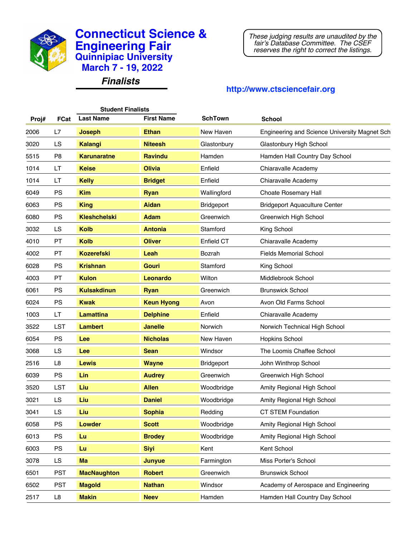

*Finalists*

*These judging results are unaudited by the fair's Database Committee. The CSEF reserves the right to correct the listings.*

| <b>Student Finalists</b> |                |                     |                   |                |                                               |  |
|--------------------------|----------------|---------------------|-------------------|----------------|-----------------------------------------------|--|
| Proj#                    | <b>FCat</b>    | <b>Last Name</b>    | <b>First Name</b> | <b>SchTown</b> | <b>School</b>                                 |  |
| 2006                     | L7             | <b>Joseph</b>       | <b>Ethan</b>      | New Haven      | Engineering and Science University Magnet Sch |  |
| 3020                     | LS             | <b>Kalangi</b>      | <b>Niteesh</b>    | Glastonbury    | Glastonbury High School                       |  |
| 5515                     | P <sub>8</sub> | <b>Karunaratne</b>  | <b>Ravindu</b>    | Hamden         | Hamden Hall Country Day School                |  |
| 1014                     | LT             | <b>Keise</b>        | <b>Olivia</b>     | Enfield        | Chiaravalle Academy                           |  |
| 1014                     | LT             | <b>Kelly</b>        | <b>Bridget</b>    | Enfield        | Chiaravalle Academy                           |  |
| 6049                     | <b>PS</b>      | <b>Kim</b>          | <b>Ryan</b>       | Wallingford    | <b>Choate Rosemary Hall</b>                   |  |
| 6063                     | PS             | <b>King</b>         | <b>Aidan</b>      | Bridgeport     | <b>Bridgeport Aquaculture Center</b>          |  |
| 6080                     | PS             | <b>Kleshchelski</b> | <b>Adam</b>       | Greenwich      | Greenwich High School                         |  |
| 3032                     | LS             | <b>Kolb</b>         | <b>Antonia</b>    | Stamford       | King School                                   |  |
| 4010                     | PT             | <b>Kolb</b>         | <b>Oliver</b>     | Enfield CT     | Chiaravalle Academy                           |  |
| 4002                     | PT             | <b>Kozerefski</b>   | Leah              | Bozrah         | <b>Fields Memorial School</b>                 |  |
| 6028                     | <b>PS</b>      | <b>Krishnan</b>     | <b>Gouri</b>      | Stamford       | King School                                   |  |
| 4003                     | PT             | <b>Kulon</b>        | Leonardo          | Wilton         | Middlebrook School                            |  |
| 6061                     | <b>PS</b>      | <b>Kulsakdinun</b>  | <b>Ryan</b>       | Greenwich      | <b>Brunswick School</b>                       |  |
| 6024                     | PS             | <b>Kwak</b>         | <b>Keun Hyong</b> | Avon           | Avon Old Farms School                         |  |
| 1003                     | LT             | <b>Lamattina</b>    | <b>Delphine</b>   | Enfield        | Chiaravalle Academy                           |  |
| 3522                     | LST            | <b>Lambert</b>      | <b>Janelle</b>    | Norwich        | Norwich Technical High School                 |  |
| 6054                     | <b>PS</b>      | Lee                 | <b>Nicholas</b>   | New Haven      | <b>Hopkins School</b>                         |  |
| 3068                     | LS             | Lee                 | <b>Sean</b>       | Windsor        | The Loomis Chaffee School                     |  |
| 2516                     | L8             | <b>Lewis</b>        | <b>Wayne</b>      | Bridgeport     | John Winthrop School                          |  |
| 6039                     | <b>PS</b>      | <b>Lin</b>          | <b>Audrey</b>     | Greenwich      | Greenwich High School                         |  |
| 3520                     | LST            | Liu                 | <b>Allen</b>      | Woodbridge     | Amity Regional High School                    |  |
| 3021                     | LS             | Liu                 | <b>Daniel</b>     | Woodbridge     | Amity Regional High School                    |  |
| 3041                     | LS             | Liu                 | <b>Sophia</b>     | Redding        | <b>CT STEM Foundation</b>                     |  |
| 6058                     | <b>PS</b>      | <b>Lowder</b>       | <b>Scott</b>      | Woodbridge     | Amity Regional High School                    |  |
| 6013                     | <b>PS</b>      | Lu                  | <b>Brodey</b>     | Woodbridge     | Amity Regional High School                    |  |
| 6003                     | <b>PS</b>      | Lu                  | <b>Siyi</b>       | Kent           | Kent School                                   |  |
| 3078                     | LS             | Ma                  | Junyue            | Farmington     | Miss Porter's School                          |  |
| 6501                     | <b>PST</b>     | <b>MacNaughton</b>  | <b>Robert</b>     | Greenwich      | <b>Brunswick School</b>                       |  |
| 6502                     | <b>PST</b>     | <b>Magold</b>       | <b>Nathan</b>     | Windsor        | Academy of Aerospace and Engineering          |  |
| 2517                     | L8             | <b>Makin</b>        | <b>Neev</b>       | Hamden         | Hamden Hall Country Day School                |  |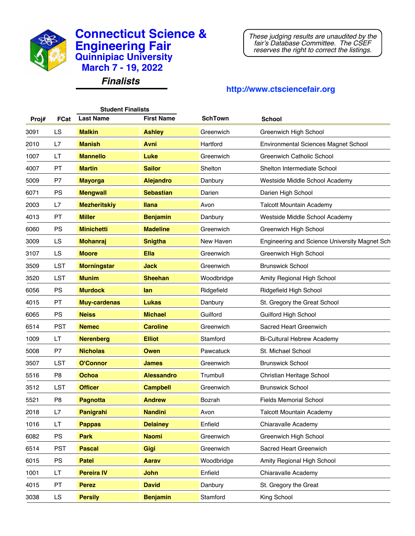

*Finalists*

*These judging results are unaudited by the fair's Database Committee. The CSEF reserves the right to correct the listings.*

| <b>Student Finalists</b> |                |                     |                   |                |                                               |  |
|--------------------------|----------------|---------------------|-------------------|----------------|-----------------------------------------------|--|
| Proj#                    | <b>FCat</b>    | <b>Last Name</b>    | <b>First Name</b> | <b>SchTown</b> | <b>School</b>                                 |  |
| 3091                     | LS             | <b>Malkin</b>       | <b>Ashley</b>     | Greenwich      | Greenwich High School                         |  |
| 2010                     | L7             | <b>Manish</b>       | <b>Avni</b>       | Hartford       | <b>Environmental Sciences Magnet School</b>   |  |
| 1007                     | LT             | <b>Mannello</b>     | Luke              | Greenwich      | <b>Greenwich Catholic School</b>              |  |
| 4007                     | PT             | <b>Martin</b>       | <b>Sailor</b>     | Shelton        | Shelton Intermediate School                   |  |
| 5009                     | P7             | <b>Mayorga</b>      | <b>Alejandro</b>  | Danbury        | Westside Middle School Academy                |  |
| 6071                     | <b>PS</b>      | <b>Mengwall</b>     | <b>Sebastian</b>  | Darien         | Darien High School                            |  |
| 2003                     | L7             | <b>Mezheritskiy</b> | <b>Ilana</b>      | Avon           | <b>Talcott Mountain Academy</b>               |  |
| 4013                     | PT             | <b>Miller</b>       | <b>Benjamin</b>   | Danbury        | Westside Middle School Academy                |  |
| 6060                     | <b>PS</b>      | <b>Minichetti</b>   | <b>Madeline</b>   | Greenwich      | Greenwich High School                         |  |
| 3009                     | LS             | <b>Mohanraj</b>     | <b>Snigtha</b>    | New Haven      | Engineering and Science University Magnet Sch |  |
| 3107                     | LS             | <b>Moore</b>        | <b>Ella</b>       | Greenwich      | Greenwich High School                         |  |
| 3509                     | LST            | <b>Morningstar</b>  | <b>Jack</b>       | Greenwich      | <b>Brunswick School</b>                       |  |
| 3520                     | LST            | <b>Munim</b>        | <b>Sheehan</b>    | Woodbridge     | Amity Regional High School                    |  |
| 6056                     | <b>PS</b>      | <b>Murdock</b>      | lan               | Ridgefield     | Ridgefield High School                        |  |
| 4015                     | PT             | <b>Muy-cardenas</b> | Lukas             | Danbury        | St. Gregory the Great School                  |  |
| 6065                     | <b>PS</b>      | <b>Neiss</b>        | <b>Michael</b>    | Guilford       | <b>Guilford High School</b>                   |  |
| 6514                     | <b>PST</b>     | <b>Nemec</b>        | <b>Caroline</b>   | Greenwich      | Sacred Heart Greenwich                        |  |
| 1009                     | LT             | <b>Nerenberg</b>    | <b>Elliot</b>     | Stamford       | <b>Bi-Cultural Hebrew Academy</b>             |  |
| 5008                     | P7             | <b>Nicholas</b>     | Owen              | Pawcatuck      | St. Michael School                            |  |
| 3507                     | LST            | <b>O'Connor</b>     | <b>James</b>      | Greenwich      | <b>Brunswick School</b>                       |  |
| 5516                     | P <sub>8</sub> | <b>Ochoa</b>        | <b>Alessandro</b> | Trumbull       | Christian Heritage School                     |  |
| 3512                     | <b>LST</b>     | <b>Officer</b>      | <b>Campbell</b>   | Greenwich      | <b>Brunswick School</b>                       |  |
| 5521                     | P <sub>8</sub> | <b>Pagnotta</b>     | <b>Andrew</b>     | Bozrah         | <b>Fields Memorial School</b>                 |  |
| 2018                     | L7             | Panigrahi           | <b>Nandini</b>    | Avon           | <b>Talcott Mountain Academy</b>               |  |
| 1016                     | LT             | <b>Pappas</b>       | <b>Delainey</b>   | Enfield        | Chiaravalle Academy                           |  |
| 6082                     | <b>PS</b>      | <b>Park</b>         | <b>Naomi</b>      | Greenwich      | Greenwich High School                         |  |
| 6514                     | <b>PST</b>     | <b>Pascal</b>       | Gigi              | Greenwich      | Sacred Heart Greenwich                        |  |
| 6015                     | <b>PS</b>      | <b>Patel</b>        | <b>Aarav</b>      | Woodbridge     | Amity Regional High School                    |  |
| 1001                     | LT.            | <b>Pereira IV</b>   | <b>John</b>       | Enfield        | Chiaravalle Academy                           |  |
| 4015                     | PT             | <b>Perez</b>        | <b>David</b>      | Danbury        | St. Gregory the Great                         |  |
| 3038                     | LS             | <b>Persily</b>      | <b>Benjamin</b>   | Stamford       | King School                                   |  |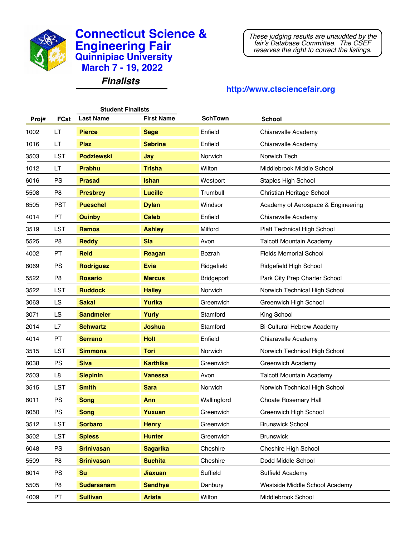

*Finalists*

*These judging results are unaudited by the fair's Database Committee. The CSEF reserves the right to correct the listings.*

| <b>Student Finalists</b> |                |                   |                   |                |                                    |  |  |
|--------------------------|----------------|-------------------|-------------------|----------------|------------------------------------|--|--|
| Proj#                    | <b>FCat</b>    | <b>Last Name</b>  | <b>First Name</b> | <b>SchTown</b> | <b>School</b>                      |  |  |
| 1002                     | LT             | <b>Pierce</b>     | <b>Sage</b>       | Enfield        | Chiaravalle Academy                |  |  |
| 1016                     | LT             | <b>Plaz</b>       | <b>Sabrina</b>    | Enfield        | Chiaravalle Academy                |  |  |
| 3503                     | LST            | <b>Podziewski</b> | Jay               | Norwich        | Norwich Tech                       |  |  |
| 1012                     | LT             | <b>Prabhu</b>     | <b>Trisha</b>     | Wilton         | Middlebrook Middle School          |  |  |
| 6016                     | PS             | <b>Prasad</b>     | <b>Ishan</b>      | Westport       | <b>Staples High School</b>         |  |  |
| 5508                     | P <sub>8</sub> | <b>Presbrey</b>   | <b>Lucille</b>    | Trumbull       | Christian Heritage School          |  |  |
| 6505                     | <b>PST</b>     | <b>Pueschel</b>   | <b>Dylan</b>      | Windsor        | Academy of Aerospace & Engineering |  |  |
| 4014                     | <b>PT</b>      | Quinby            | <b>Caleb</b>      | Enfield        | Chiaravalle Academy                |  |  |
| 3519                     | LST            | <b>Ramos</b>      | <b>Ashley</b>     | Milford        | Platt Technical High School        |  |  |
| 5525                     | P <sub>8</sub> | <b>Reddy</b>      | <b>Sia</b>        | Avon           | <b>Talcott Mountain Academy</b>    |  |  |
| 4002                     | PT             | <b>Reid</b>       | Reagan            | Bozrah         | <b>Fields Memorial School</b>      |  |  |
| 6069                     | <b>PS</b>      | <b>Rodriguez</b>  | <b>Evia</b>       | Ridgefield     | Ridgefield High School             |  |  |
| 5522                     | P <sub>8</sub> | <b>Rosario</b>    | <b>Marcus</b>     | Bridgeport     | Park City Prep Charter School      |  |  |
| 3522                     | LST            | <b>Ruddock</b>    | <b>Hailey</b>     | Norwich        | Norwich Technical High School      |  |  |
| 3063                     | LS             | <b>Sakai</b>      | Yurika            | Greenwich      | Greenwich High School              |  |  |
| 3071                     | LS             | <b>Sandmeier</b>  | <b>Yuriy</b>      | Stamford       | King School                        |  |  |
| 2014                     | L7             | <b>Schwartz</b>   | Joshua            | Stamford       | <b>Bi-Cultural Hebrew Academy</b>  |  |  |
| 4014                     | PT             | <b>Serrano</b>    | <b>Holt</b>       | Enfield        | Chiaravalle Academy                |  |  |
| 3515                     | LST            | <b>Simmons</b>    | <b>Tori</b>       | Norwich        | Norwich Technical High School      |  |  |
| 6038                     | PS             | <b>Siva</b>       | <b>Karthika</b>   | Greenwich      | <b>Greenwich Academy</b>           |  |  |
| 2503                     | L8             | <b>Slepinin</b>   | <b>Vanessa</b>    | Avon           | <b>Talcott Mountain Academy</b>    |  |  |
| 3515                     | LST            | <b>Smith</b>      | <b>Sara</b>       | Norwich        | Norwich Technical High School      |  |  |
| 6011                     | PS             | <b>Song</b>       | Ann               | Wallingford    | <b>Choate Rosemary Hall</b>        |  |  |
| 6050                     | <b>PS</b>      | <b>Song</b>       | Yuxuan            | Greenwich      | Greenwich High School              |  |  |
| 3512                     | LST            | <b>Sorbaro</b>    | <b>Henry</b>      | Greenwich      | <b>Brunswick School</b>            |  |  |
| 3502                     | LST            | <b>Spiess</b>     | <b>Hunter</b>     | Greenwich      | <b>Brunswick</b>                   |  |  |
| 6048                     | <b>PS</b>      | <b>Srinivasan</b> | <b>Sagarika</b>   | Cheshire       | Cheshire High School               |  |  |
| 5509                     | P <sub>8</sub> | <b>Srinivasan</b> | <b>Suchita</b>    | Cheshire       | Dodd Middle School                 |  |  |
| 6014                     | PS             | <b>Su</b>         | <b>Jiaxuan</b>    | Suffield       | Suffield Academy                   |  |  |
| 5505                     | P <sub>8</sub> | <b>Sudarsanam</b> | <b>Sandhya</b>    | Danbury        | Westside Middle School Academy     |  |  |
| 4009                     | PT             | <b>Sullivan</b>   | <b>Arista</b>     | Wilton         | Middlebrook School                 |  |  |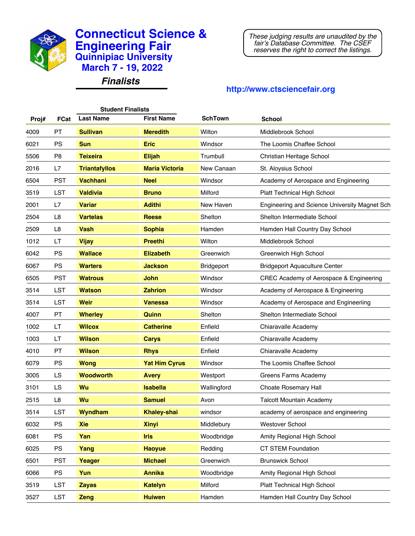

*Finalists*

*These judging results are unaudited by the fair's Database Committee. The CSEF reserves the right to correct the listings.*

| <b>Student Finalists</b> |                |                      |                       |                |                                               |  |
|--------------------------|----------------|----------------------|-----------------------|----------------|-----------------------------------------------|--|
| Proj#                    | <b>FCat</b>    | <b>Last Name</b>     | <b>First Name</b>     | <b>SchTown</b> | <b>School</b>                                 |  |
| 4009                     | PT             | <b>Sullivan</b>      | <b>Meredith</b>       | Wilton         | Middlebrook School                            |  |
| 6021                     | <b>PS</b>      | <b>Sun</b>           | <b>Eric</b>           | Windsor        | The Loomis Chaffee School                     |  |
| 5506                     | P <sub>8</sub> | <b>Teixeira</b>      | <b>Elijah</b>         | Trumbull       | Christian Heritage School                     |  |
| 2016                     | L7             | <b>Triantafyllos</b> | <b>Maria Victoria</b> | New Canaan     | St. Aloysius School                           |  |
| 6504                     | <b>PST</b>     | <b>Vachhani</b>      | <b>Neel</b>           | Windsor        | Academy of Aerospace and Engineering          |  |
| 3519                     | LST            | <b>Valdivia</b>      | <b>Bruno</b>          | Milford        | <b>Platt Technical High School</b>            |  |
| 2001                     | L7             | <b>Variar</b>        | <b>Adithi</b>         | New Haven      | Engineering and Science University Magnet Sch |  |
| 2504                     | L <sub>8</sub> | <b>Vartelas</b>      | <b>Reese</b>          | Shelton        | Shelton Intermediate School                   |  |
| 2509                     | L <sub>8</sub> | <b>Vash</b>          | <b>Sophia</b>         | Hamden         | Hamden Hall Country Day School                |  |
| 1012                     | LT             | <b>Vijay</b>         | <b>Preethi</b>        | Wilton         | Middlebrook School                            |  |
| 6042                     | PS             | <b>Wallace</b>       | <b>Elizabeth</b>      | Greenwich      | Greenwich High School                         |  |
| 6067                     | <b>PS</b>      | <b>Warters</b>       | <b>Jackson</b>        | Bridgeport     | <b>Bridgeport Aquaculture Center</b>          |  |
| 6505                     | <b>PST</b>     | <b>Watrous</b>       | <b>John</b>           | Windsor        | CREC Academy of Aerospace & Engineering       |  |
| 3514                     | LST            | <b>Watson</b>        | <b>Zahrion</b>        | Windsor        | Academy of Aerospace & Engineering            |  |
| 3514                     | LST            | <b>Weir</b>          | <b>Vanessa</b>        | Windsor        | Academy of Aerospace and Engineeriing         |  |
| 4007                     | PT             | <b>Wherley</b>       | Quinn                 | Shelton        | Shelton Intermediate School                   |  |
| 1002                     | LT             | <b>Wilcox</b>        | <b>Catherine</b>      | Enfield        | Chiaravalle Academy                           |  |
| 1003                     | LT             | <b>Wilson</b>        | <b>Carys</b>          | Enfield        | Chiaravalle Academy                           |  |
| 4010                     | PT             | <b>Wilson</b>        | <b>Rhys</b>           | Enfield        | Chiaravalle Academy                           |  |
| 6079                     | PS             | <b>Wong</b>          | <b>Yat Him Cyrus</b>  | Windsor        | The Loomis Chaffee School                     |  |
| 3005                     | LS             | <b>Woodworth</b>     | <b>Avery</b>          | Westport       | Greens Farms Academy                          |  |
| 3101                     | LS             | Wu                   | <b>Isabella</b>       | Wallingford    | Choate Rosemary Hall                          |  |
| 2515                     | L8             | Wu                   | <b>Samuel</b>         | Avon           | <b>Talcott Mountain Academy</b>               |  |
| 3514                     | LST            | <b>Wyndham</b>       | <b>Khaley-shai</b>    | windsor        | academy of aerospace and engineering          |  |
| 6032                     | <b>PS</b>      | <b>Xie</b>           | <b>Xinyi</b>          | Middlebury     | Westover School                               |  |
| 6081                     | PS             | Yan                  | <b>Iris</b>           | Woodbridge     | Amity Regional High School                    |  |
| 6025                     | <b>PS</b>      | Yang                 | <b>Haoyue</b>         | Redding        | CT STEM Foundation                            |  |
| 6501                     | <b>PST</b>     | Yeager               | <b>Michael</b>        | Greenwich      | <b>Brunswick School</b>                       |  |
| 6066                     | <b>PS</b>      | Yun                  | <b>Annika</b>         | Woodbridge     | Amity Regional High School                    |  |
| 3519                     | LST            | <b>Zayas</b>         | <b>Katelyn</b>        | Milford        | Platt Technical High School                   |  |
| 3527                     | LST            | Zeng                 | <b>Huiwen</b>         | Hamden         | Hamden Hall Country Day School                |  |